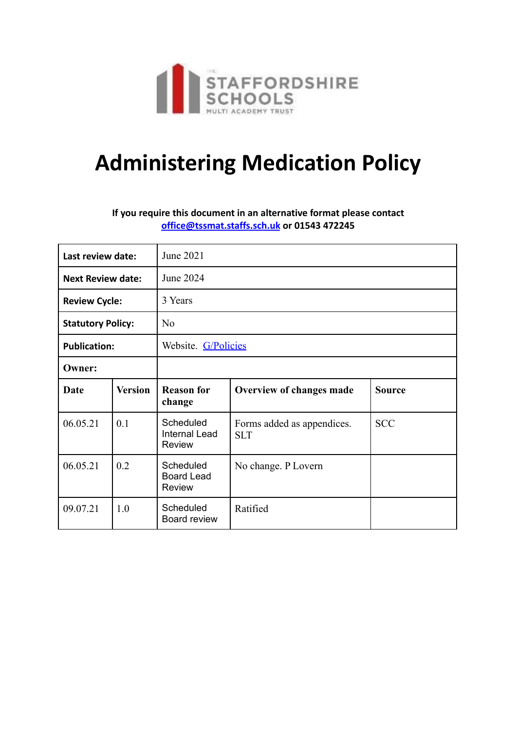

# **Administering Medication Policy**

### **If you require this document in an alternative format please contact [office@tssmat.staffs.sch.uk](mailto:office@tssmat.staffs.sch.uk) or 01543 472245**

| Last review date:        |                | June 2021                                          |                                                        |               |  |
|--------------------------|----------------|----------------------------------------------------|--------------------------------------------------------|---------------|--|
| <b>Next Review date:</b> |                | June 2024                                          |                                                        |               |  |
| <b>Review Cycle:</b>     |                | 3 Years                                            |                                                        |               |  |
| <b>Statutory Policy:</b> |                | N <sub>o</sub>                                     |                                                        |               |  |
| <b>Publication:</b>      |                | Website. G/Policies                                |                                                        |               |  |
| <b>Owner:</b>            |                |                                                    |                                                        |               |  |
| <b>Date</b>              | <b>Version</b> | <b>Reason for</b><br>change                        | Overview of changes made                               | <b>Source</b> |  |
| 06.05.21                 | 0.1            | Scheduled<br><b>Internal Lead</b><br><b>Review</b> | <b>SCC</b><br>Forms added as appendices.<br><b>SLT</b> |               |  |
| 06.05.21                 | 0.2            | Scheduled<br><b>Board Lead</b><br><b>Review</b>    | No change. P Lovern                                    |               |  |
| 09.07.21                 | 1.0            | Scheduled<br>Board review                          | Ratified                                               |               |  |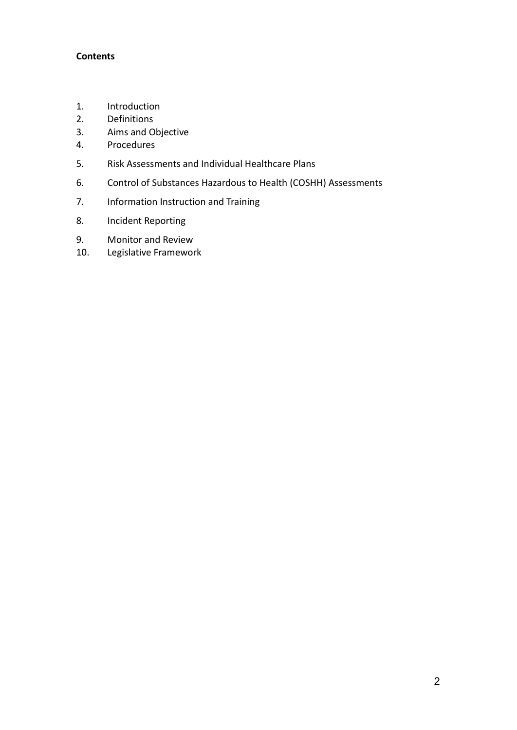#### **Contents**

- 1. Introduction
- 2. Definitions
- 3. Aims and Objective
- 4. Procedures
- 5. Risk Assessments and Individual Healthcare Plans
- 6. Control of Substances Hazardous to Health (COSHH) Assessments
- 7. Information Instruction and Training
- 8. Incident Reporting
- 9. Monitor and Review
- 10. Legislative Framework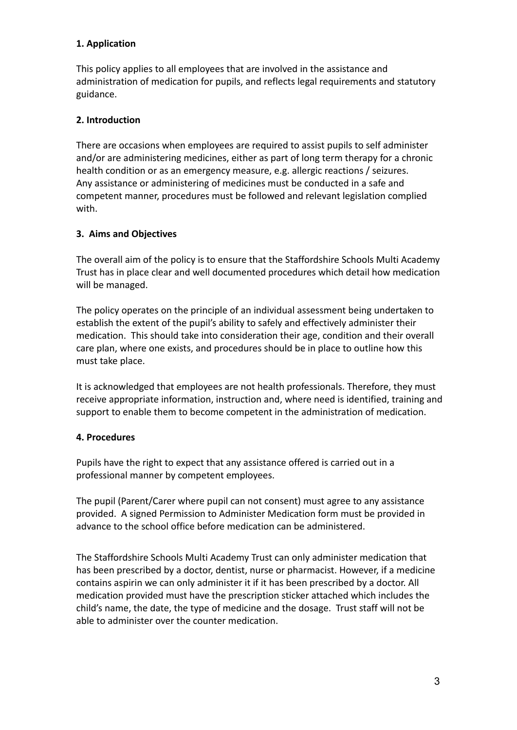## **1. Application**

This policy applies to all employees that are involved in the assistance and administration of medication for pupils, and reflects legal requirements and statutory guidance.

## **2. Introduction**

There are occasions when employees are required to assist pupils to self administer and/or are administering medicines, either as part of long term therapy for a chronic health condition or as an emergency measure, e.g. allergic reactions / seizures. Any assistance or administering of medicines must be conducted in a safe and competent manner, procedures must be followed and relevant legislation complied with.

## **3. Aims and Objectives**

The overall aim of the policy is to ensure that the Staffordshire Schools Multi Academy Trust has in place clear and well documented procedures which detail how medication will be managed.

The policy operates on the principle of an individual assessment being undertaken to establish the extent of the pupil's ability to safely and effectively administer their medication. This should take into consideration their age, condition and their overall care plan, where one exists, and procedures should be in place to outline how this must take place.

It is acknowledged that employees are not health professionals. Therefore, they must receive appropriate information, instruction and, where need is identified, training and support to enable them to become competent in the administration of medication.

### **4. Procedures**

Pupils have the right to expect that any assistance offered is carried out in a professional manner by competent employees.

The pupil (Parent/Carer where pupil can not consent) must agree to any assistance provided. A signed Permission to Administer Medication form must be provided in advance to the school office before medication can be administered.

The Staffordshire Schools Multi Academy Trust can only administer medication that has been prescribed by a doctor, dentist, nurse or pharmacist. However, if a medicine contains aspirin we can only administer it if it has been prescribed by a doctor. All medication provided must have the prescription sticker attached which includes the child's name, the date, the type of medicine and the dosage. Trust staff will not be able to administer over the counter medication.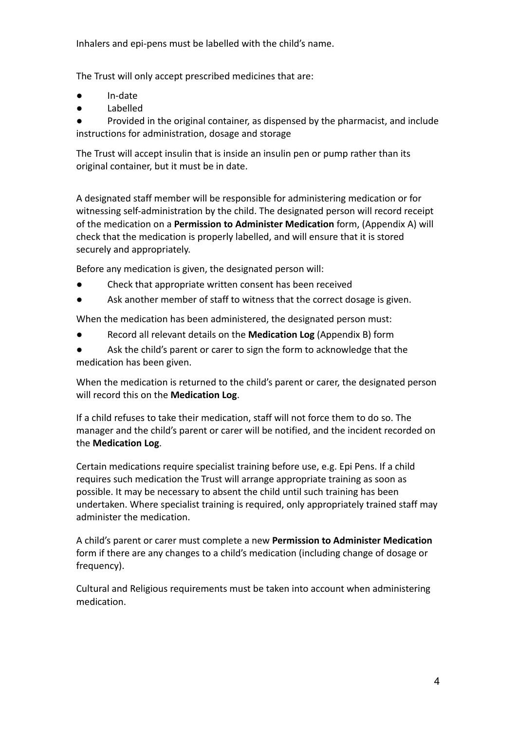Inhalers and epi-pens must be labelled with the child's name.

The Trust will only accept prescribed medicines that are:

- In-date
- **Labelled**

Provided in the original container, as dispensed by the pharmacist, and include instructions for administration, dosage and storage

The Trust will accept insulin that is inside an insulin pen or pump rather than its original container, but it must be in date.

A designated staff member will be responsible for administering medication or for witnessing self-administration by the child. The designated person will record receipt of the medication on a **Permission to Administer Medication** form, (Appendix A) will check that the medication is properly labelled, and will ensure that it is stored securely and appropriately.

Before any medication is given, the designated person will:

- Check that appropriate written consent has been received
- Ask another member of staff to witness that the correct dosage is given.

When the medication has been administered, the designated person must:

- Record all relevant details on the **Medication Log** (Appendix B) form
- Ask the child's parent or carer to sign the form to acknowledge that the medication has been given.

When the medication is returned to the child's parent or carer, the designated person will record this on the **Medication Log**.

If a child refuses to take their medication, staff will not force them to do so. The manager and the child's parent or carer will be notified, and the incident recorded on the **Medication Log**.

Certain medications require specialist training before use, e.g. Epi Pens. If a child requires such medication the Trust will arrange appropriate training as soon as possible. It may be necessary to absent the child until such training has been undertaken. Where specialist training is required, only appropriately trained staff may administer the medication.

A child's parent or carer must complete a new **Permission to Administer Medication** form if there are any changes to a child's medication (including change of dosage or frequency).

Cultural and Religious requirements must be taken into account when administering medication.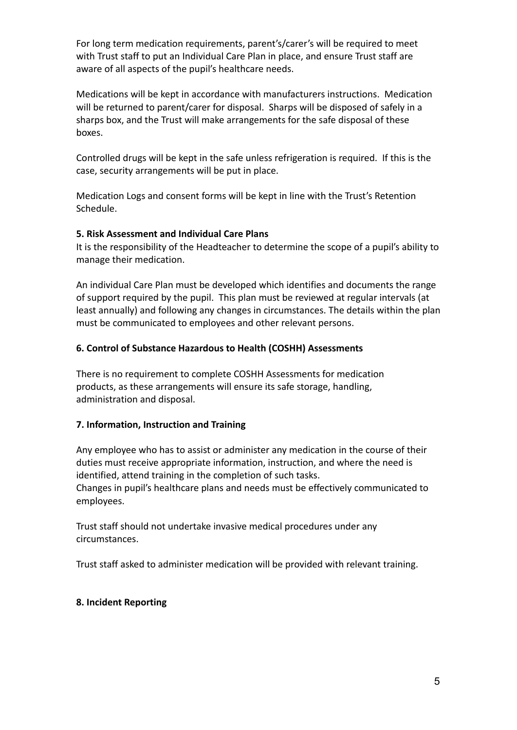For long term medication requirements, parent's/carer's will be required to meet with Trust staff to put an Individual Care Plan in place, and ensure Trust staff are aware of all aspects of the pupil's healthcare needs.

Medications will be kept in accordance with manufacturers instructions. Medication will be returned to parent/carer for disposal. Sharps will be disposed of safely in a sharps box, and the Trust will make arrangements for the safe disposal of these boxes.

Controlled drugs will be kept in the safe unless refrigeration is required. If this is the case, security arrangements will be put in place.

Medication Logs and consent forms will be kept in line with the Trust's Retention Schedule.

### **5. Risk Assessment and Individual Care Plans**

It is the responsibility of the Headteacher to determine the scope of a pupil's ability to manage their medication.

An individual Care Plan must be developed which identifies and documents the range of support required by the pupil. This plan must be reviewed at regular intervals (at least annually) and following any changes in circumstances. The details within the plan must be communicated to employees and other relevant persons.

### **6. Control of Substance Hazardous to Health (COSHH) Assessments**

There is no requirement to complete COSHH Assessments for medication products, as these arrangements will ensure its safe storage, handling, administration and disposal.

### **7. Information, Instruction and Training**

Any employee who has to assist or administer any medication in the course of their duties must receive appropriate information, instruction, and where the need is identified, attend training in the completion of such tasks. Changes in pupil's healthcare plans and needs must be effectively communicated to employees.

Trust staff should not undertake invasive medical procedures under any circumstances.

Trust staff asked to administer medication will be provided with relevant training.

### **8. Incident Reporting**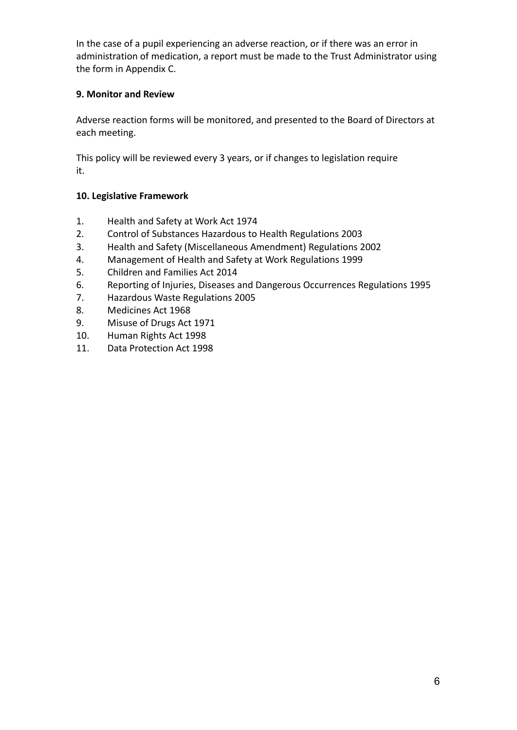In the case of a pupil experiencing an adverse reaction, or if there was an error in administration of medication, a report must be made to the Trust Administrator using the form in Appendix C.

## **9. Monitor and Review**

Adverse reaction forms will be monitored, and presented to the Board of Directors at each meeting.

This policy will be reviewed every 3 years, or if changes to legislation require it.

## **10. Legislative Framework**

- 1. Health and Safety at Work Act 1974
- 2. Control of Substances Hazardous to Health Regulations 2003
- 3. Health and Safety (Miscellaneous Amendment) Regulations 2002
- 4. Management of Health and Safety at Work Regulations 1999
- 5. Children and Families Act 2014
- 6. Reporting of Injuries, Diseases and Dangerous Occurrences Regulations 1995
- 7. Hazardous Waste Regulations 2005
- 8. Medicines Act 1968
- 9. Misuse of Drugs Act 1971
- 10. Human Rights Act 1998
- 11. Data Protection Act 1998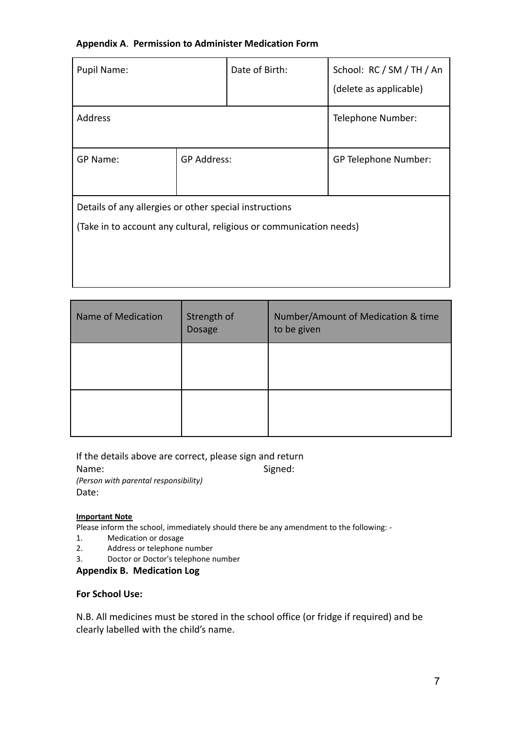#### **Appendix A**. **Permission to Administer Medication Form**

| Pupil Name:                                                         |                    | Date of Birth: | School: RC / SM / TH / An |  |
|---------------------------------------------------------------------|--------------------|----------------|---------------------------|--|
|                                                                     |                    |                | (delete as applicable)    |  |
| <b>Address</b>                                                      |                    |                | Telephone Number:         |  |
|                                                                     |                    |                |                           |  |
| GP Name:                                                            | <b>GP Address:</b> |                | GP Telephone Number:      |  |
|                                                                     |                    |                |                           |  |
| Details of any allergies or other special instructions              |                    |                |                           |  |
| (Take in to account any cultural, religious or communication needs) |                    |                |                           |  |
|                                                                     |                    |                |                           |  |
|                                                                     |                    |                |                           |  |
|                                                                     |                    |                |                           |  |

| Name of Medication | Strength of<br>Dosage | Number/Amount of Medication & time<br>to be given |
|--------------------|-----------------------|---------------------------------------------------|
|                    |                       |                                                   |
|                    |                       |                                                   |

If the details above are correct, please sign and return

Name: Signed:

*(Person with parental responsibility)* Date:

#### **Important Note**

Please inform the school, immediately should there be any amendment to the following: -

- 1. Medication or dosage<br>2. Address or telephone
- Address or telephone number
- 3. Doctor or Doctor's telephone number

#### **Appendix B. Medication Log**

#### **For School Use:**

N.B. All medicines must be stored in the school office (or fridge if required) and be clearly labelled with the child's name.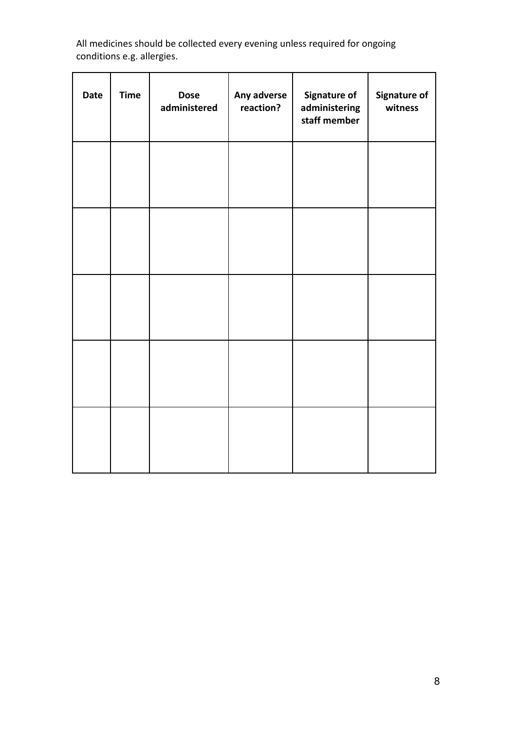All medicines should be collected every evening unless required for ongoing conditions e.g. allergies.

| <b>Date</b> | <b>Time</b> | <b>Dose</b><br>administered | Any adverse<br>reaction? | Signature of<br>administering<br>staff member | Signature of<br>witness |
|-------------|-------------|-----------------------------|--------------------------|-----------------------------------------------|-------------------------|
|             |             |                             |                          |                                               |                         |
|             |             |                             |                          |                                               |                         |
|             |             |                             |                          |                                               |                         |
|             |             |                             |                          |                                               |                         |
|             |             |                             |                          |                                               |                         |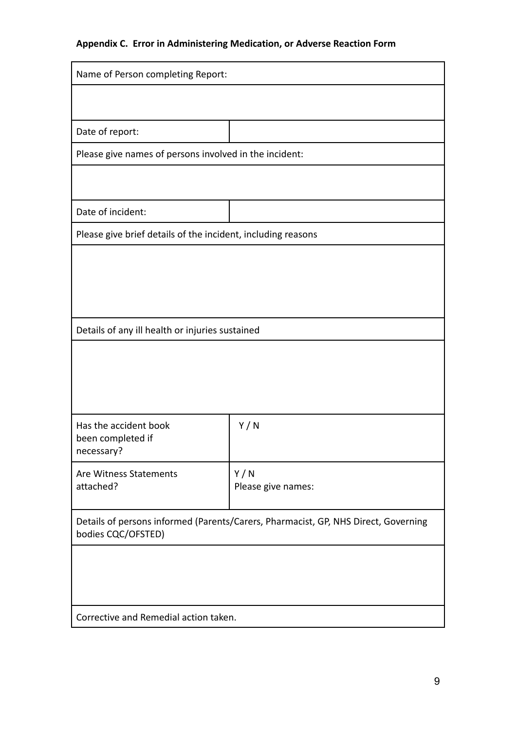# **Appendix C. Error in Administering Medication, or Adverse Reaction Form**

| Name of Person completing Report:                                                                        |                                                        |  |  |
|----------------------------------------------------------------------------------------------------------|--------------------------------------------------------|--|--|
|                                                                                                          |                                                        |  |  |
|                                                                                                          |                                                        |  |  |
| Date of report:                                                                                          |                                                        |  |  |
|                                                                                                          | Please give names of persons involved in the incident: |  |  |
|                                                                                                          |                                                        |  |  |
| Date of incident:                                                                                        |                                                        |  |  |
| Please give brief details of the incident, including reasons                                             |                                                        |  |  |
|                                                                                                          |                                                        |  |  |
|                                                                                                          |                                                        |  |  |
|                                                                                                          |                                                        |  |  |
|                                                                                                          |                                                        |  |  |
| Details of any ill health or injuries sustained                                                          |                                                        |  |  |
|                                                                                                          |                                                        |  |  |
|                                                                                                          |                                                        |  |  |
|                                                                                                          |                                                        |  |  |
| Has the accident book                                                                                    | Y/N                                                    |  |  |
| been completed if<br>necessary?                                                                          |                                                        |  |  |
| Are Witness Statements                                                                                   | Y/N                                                    |  |  |
| attached?                                                                                                | Please give names:                                     |  |  |
|                                                                                                          |                                                        |  |  |
| Details of persons informed (Parents/Carers, Pharmacist, GP, NHS Direct, Governing<br>bodies CQC/OFSTED) |                                                        |  |  |
|                                                                                                          |                                                        |  |  |
|                                                                                                          |                                                        |  |  |
|                                                                                                          |                                                        |  |  |
| Corrective and Remedial action taken.                                                                    |                                                        |  |  |